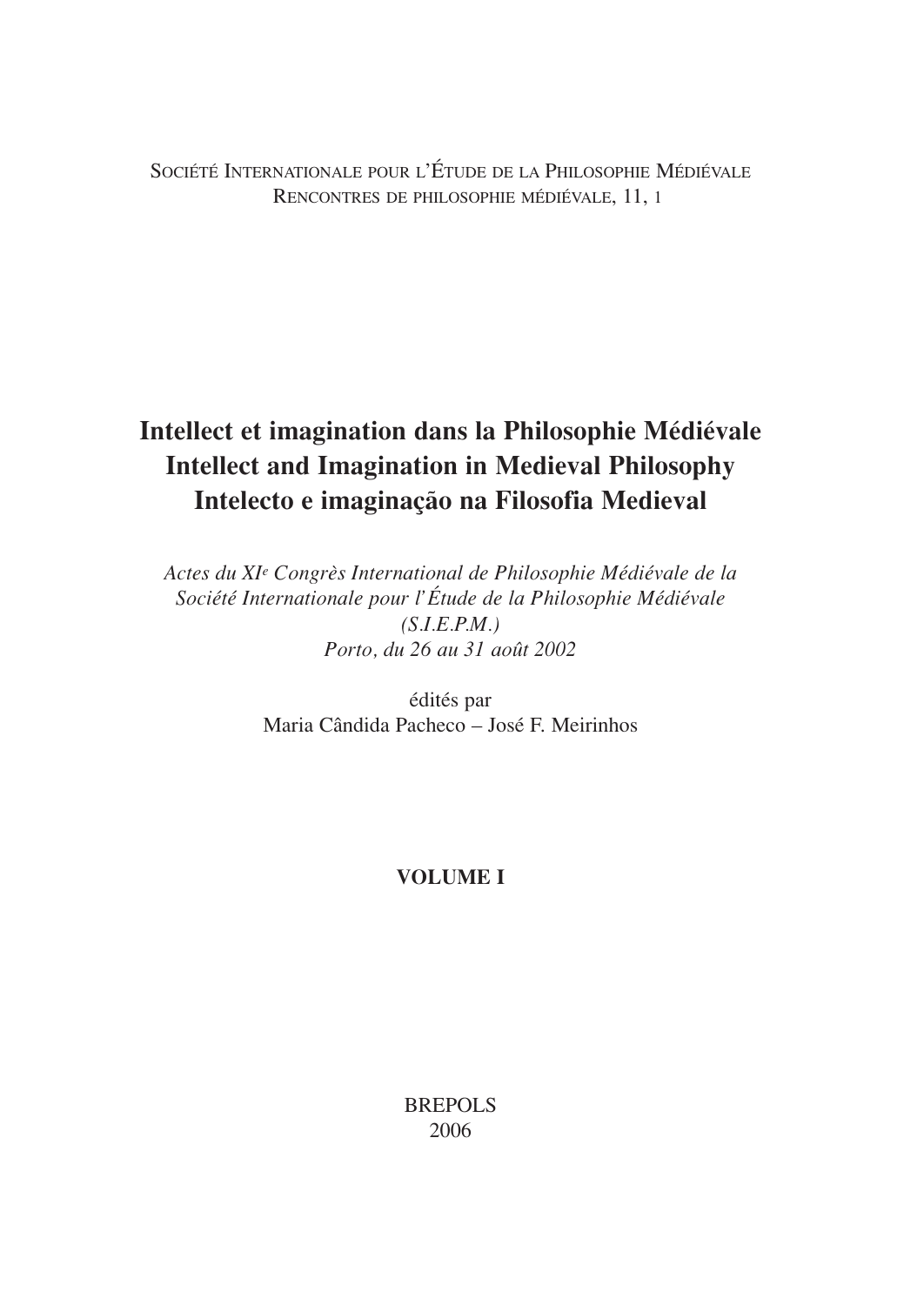SOCIÉTÉ INTERNATIONALE POUR L'ÉTUDE DE LA PHILOSOPHIE MÉDIÉVALE RENCONTRES DE PHILOSOPHIE MÉDIÉVALE, 11, 1

# **Intellect et imagination dans la Philosophie Médiévale Intellect and Imagination in Medieval Philosophy Intelecto e imaginação na Filosofia Medieval**

*Actes du XIe Congrès International de Philosophie Médiévale de la Société Internationale pour l'Étude de la Philosophie Médiévale (S.I.E.P.M.) Porto, du 26 au 31 août 2002*

> édités par Maria Cândida Pacheco – José F. Meirinhos

## **VOLUME I**

BREPOLS 2006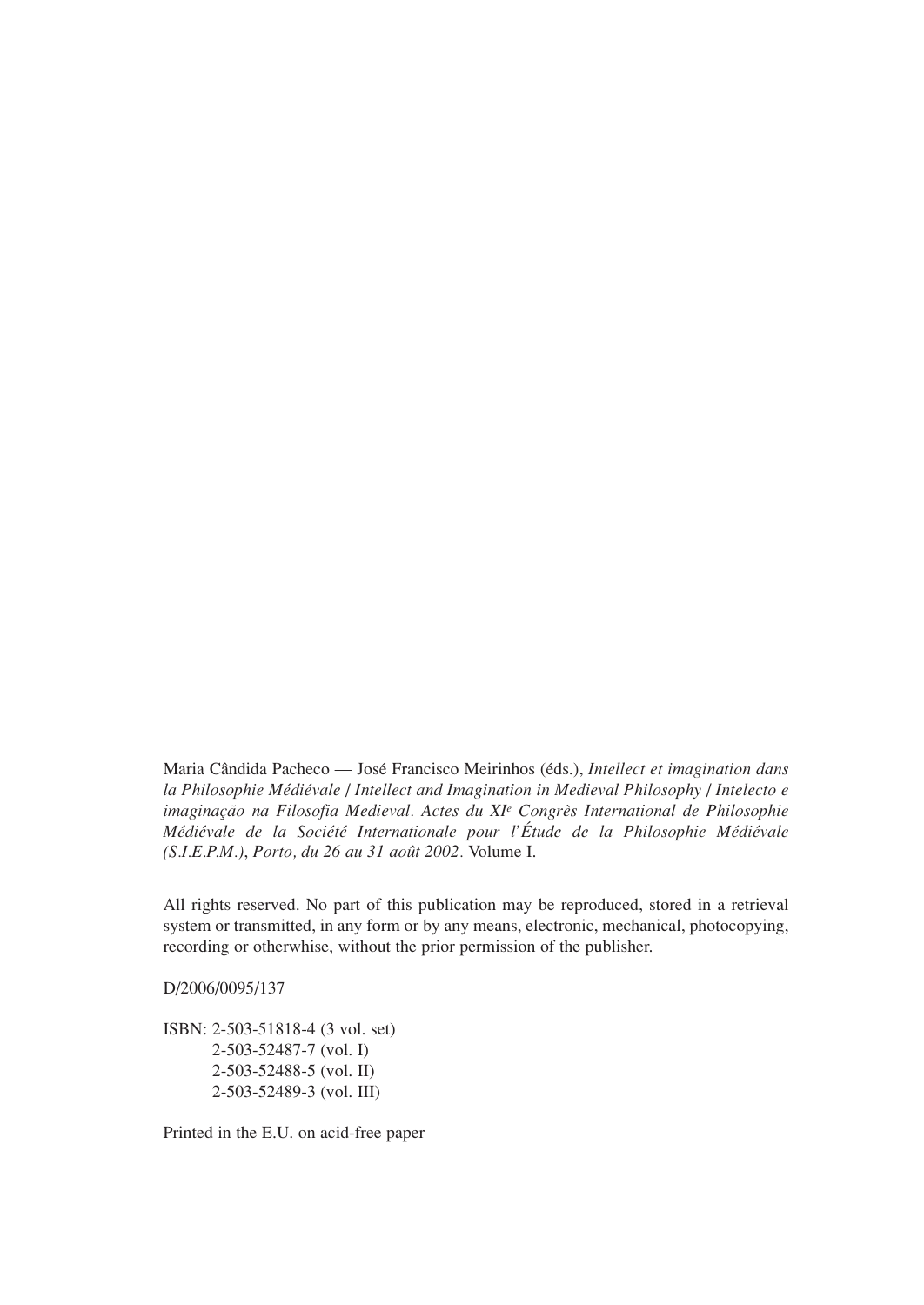Maria Cândida Pacheco — José Francisco Meirinhos (éds.), *Intellect et imagination dans la Philosophie Médiévale* / *Intellect and Imagination in Medieval Philosophy* / *Intelecto e imaginação na Filosofia Medieval. Actes du XIe Congrès International de Philosophie Médiévale de la Société Internationale pour l'Étude de la Philosophie Médiévale (S.I.E.P.M.)*, *Porto, du 26 au 31 août 2002.* Volume I.

All rights reserved. No part of this publication may be reproduced, stored in a retrieval system or transmitted, in any form or by any means, electronic, mechanical, photocopying, recording or otherwhise, without the prior permission of the publisher.

D/2006/0095/137

ISBN: 2-503-51818-4 (3 vol. set) 2-503-52487-7 (vol. I) 2-503-52488-5 (vol. II) 2-503-52489-3 (vol. III)

Printed in the E.U. on acid-free paper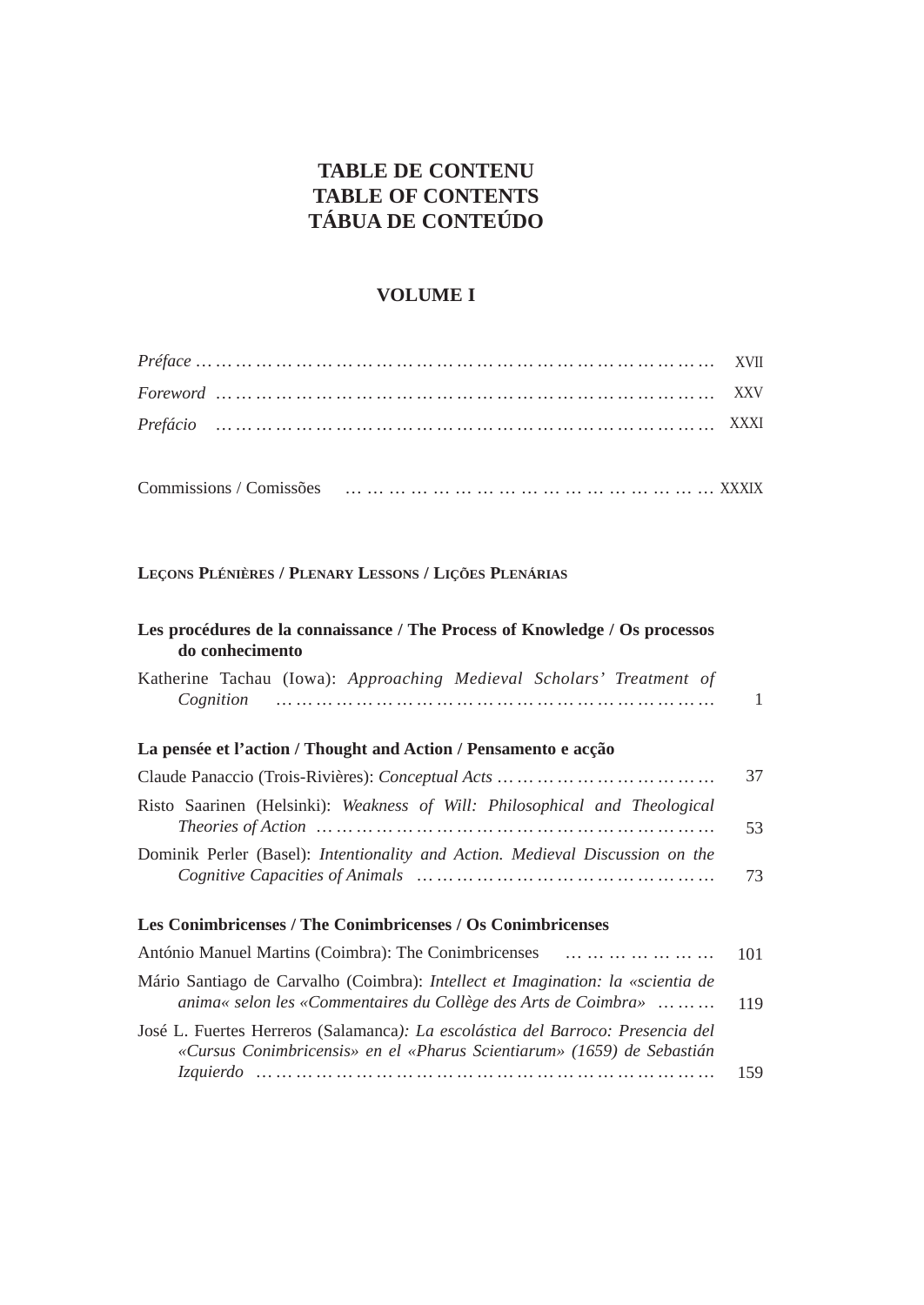## **TABLE DE CONTENU TABLE OF CONTENTS TÁBUA DE CONTEÚDO**

## **VOLUME I**

## **LEÇONS PLÉNIÈRES / PLENARY LESSONS / LIÇÕES PLENÁRIAS**

| Les procédures de la connaissance / The Process of Knowledge / Os processos<br>do conhecimento                                                            |     |
|-----------------------------------------------------------------------------------------------------------------------------------------------------------|-----|
| Katherine Tachau (Iowa): Approaching Medieval Scholars' Treatment of<br>Cognition                                                                         | 1   |
| La pensée et l'action / Thought and Action / Pensamento e acção                                                                                           |     |
|                                                                                                                                                           | 37  |
| Risto Saarinen (Helsinki): Weakness of Will: Philosophical and Theological                                                                                | 53  |
| Dominik Perler (Basel): Intentionality and Action. Medieval Discussion on the                                                                             | 73  |
| Les Conimbricenses / The Conimbricenses / Os Conimbricenses                                                                                               |     |
| António Manuel Martins (Coimbra): The Conimbricenses                                                                                                      | 101 |
| Mário Santiago de Carvalho (Coimbra): <i>Intellect et Imagination: la «scientia de</i><br>anima« selon les «Commentaires du Collège des Arts de Coimbra»  | 119 |
| José L. Fuertes Herreros (Salamanca): La escolástica del Barroco: Presencia del<br>«Cursus Conimbricensis» en el «Pharus Scientiarum» (1659) de Sebastián |     |
| Izquierdo and an antiquity and an antiquity and an antiquity and an antiquity and                                                                         | 159 |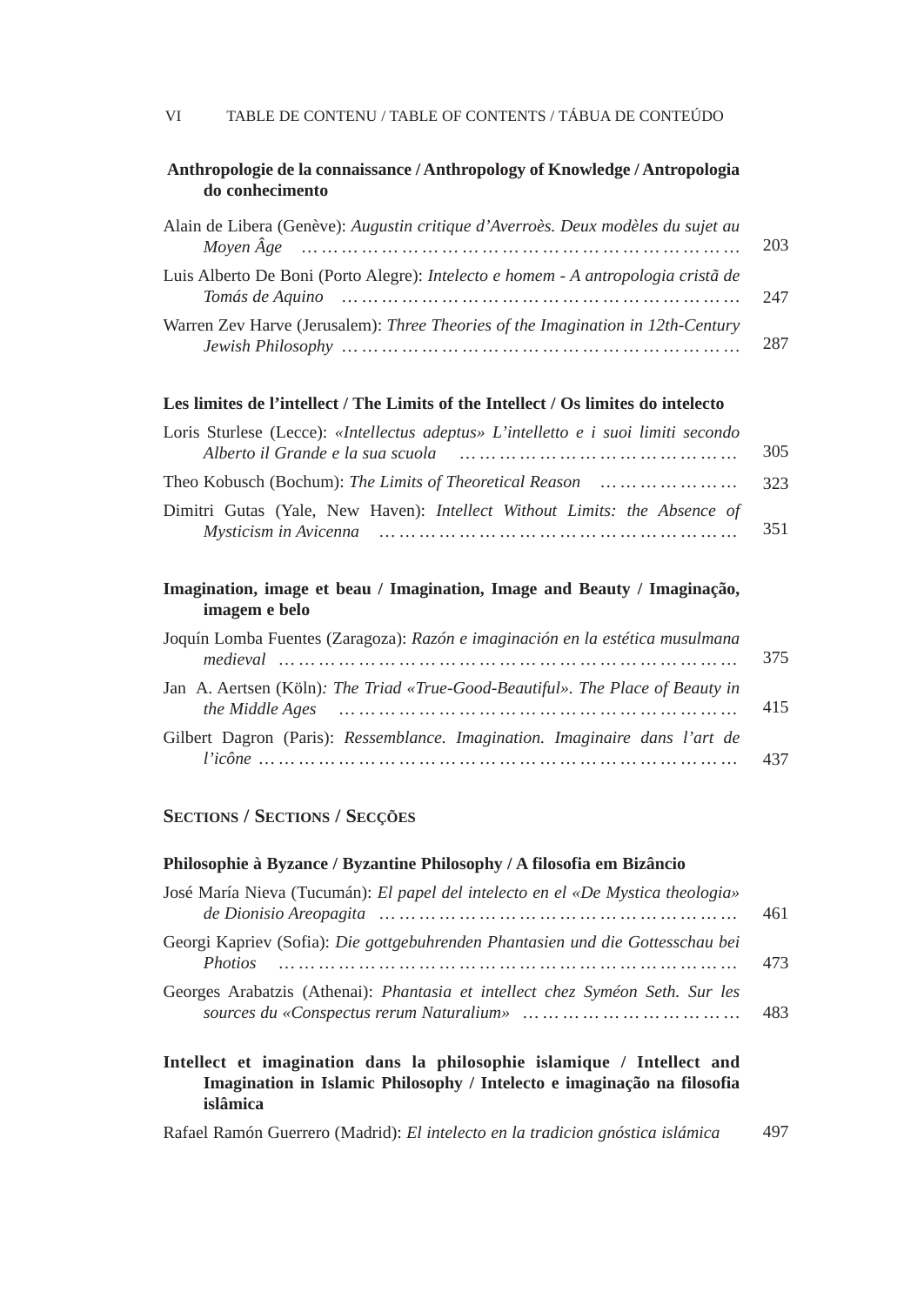| Anthropologie de la connaissance / Anthropology of Knowledge / Antropologia |  |
|-----------------------------------------------------------------------------|--|
| do conhecimento                                                             |  |

| Alain de Libera (Genève): Augustin critique d'Averroès. Deux modèles du sujet au                                                                                                                           | 203 |
|------------------------------------------------------------------------------------------------------------------------------------------------------------------------------------------------------------|-----|
| Luis Alberto De Boni (Porto Alegre): <i>Intelecto e homem - A antropologia cristã de</i><br>Tomás de Aquino que se se un maneiro de la componenta de Aquino que se un maneiro de la componenta de la contr | 247 |
| Warren Zev Harve (Jerusalem): Three Theories of the Imagination in 12th-Century                                                                                                                            | 287 |

### **Les limites de l'intellect / The Limits of the Intellect / Os limites do intelecto**

| Loris Sturlese (Lecce): «Intellectus adeptus» L'intelletto e i suoi limiti secondo |     |
|------------------------------------------------------------------------------------|-----|
| Alberto il Grande e la sua scuola alle sulla sulla sulla sulla sulla sulla sulla   | 305 |
| Theo Kobusch (Bochum): The Limits of Theoretical Reason        323                 |     |
| Dimitri Gutas (Yale, New Haven): Intellect Without Limits: the Absence of          |     |
| Mysticism in Avicenna man man man man man man man man man                          | 351 |

## **Imagination, image et beau / Imagination, Image and Beauty / Imaginação, imagem e belo**

| Joquín Lomba Fuentes (Zaragoza): Razón e imaginación en la estética musulmana  |     |
|--------------------------------------------------------------------------------|-----|
|                                                                                | 375 |
| Jan A. Aertsen (Köln): The Triad «True-Good-Beautiful». The Place of Beauty in |     |
|                                                                                | 415 |
| Gilbert Dagron (Paris): Ressemblance. Imagination. Imaginaire dans l'art de    |     |
|                                                                                |     |

#### **SECTIONS / SECTIONS / SECÇÕES**

#### **Philosophie à Byzance / Byzantine Philosophy / A filosofia em Bizâncio**

| José María Nieva (Tucumán): El papel del intelecto en el «De Mystica theologia»<br>de Dionisio Areopagita manumum manumum manumum manumum | 461 |
|-------------------------------------------------------------------------------------------------------------------------------------------|-----|
| Georgi Kapriev (Sofia): Die gottgebuhrenden Phantasien und die Gottesschau bei                                                            | 473 |
| Georges Arabatzis (Athenai): <i>Phantasia et intellect chez Syméon Seth. Sur les</i>                                                      | 483 |

**Intellect et imagination dans la philosophie islamique / Intellect and Imagination in Islamic Philosophy / Intelecto e imaginação na filosofia islâmica**

Rafael Ramón Guerrero (Madrid): *El intelecto en la tradicion gnóstica islámica* 497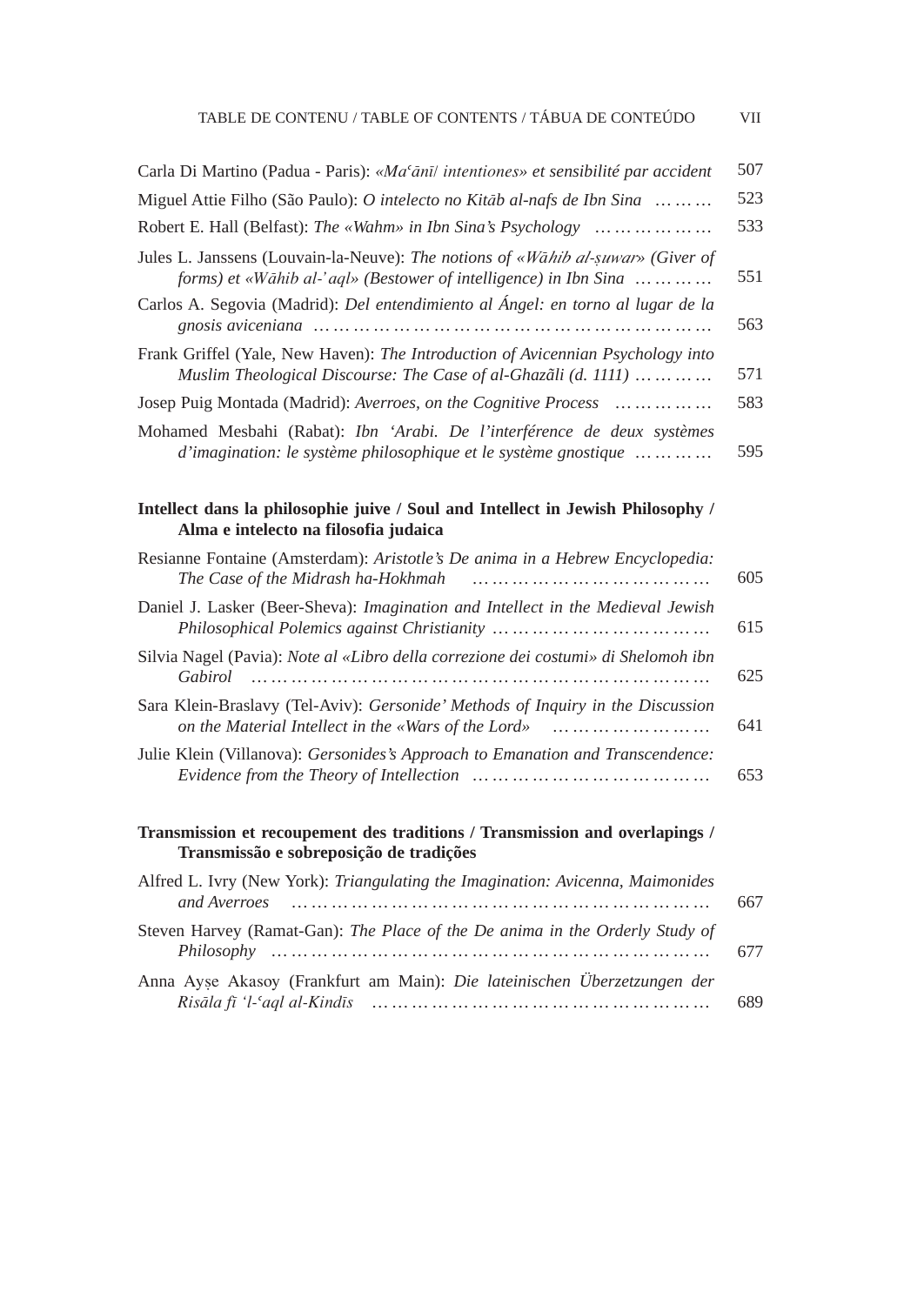| TABLE DE CONTENU / TABLE OF CONTENTS / TABUA DE CONTEUDO |  |
|----------------------------------------------------------|--|
|----------------------------------------------------------|--|

| Carla Di Martino (Padua - Paris): «Ma <sup>c</sup> ānī/ intentiones» et sensibilité par accident                                                    | 507 |
|-----------------------------------------------------------------------------------------------------------------------------------------------------|-----|
| Miguel Attie Filho (São Paulo): O intelecto no Kitāb al-nafs de Ibn Sina                                                                            | 523 |
| Robert E. Hall (Belfast): The «Wahm» in Ibn Sina's Psychology                                                                                       | 533 |
| Jules L. Janssens (Louvain-la-Neuve): The notions of «Wahib al-suwar» (Giver of<br>forms) et «Wāhib al-'aql» (Bestower of intelligence) in Ibn Sina | 551 |
| Carlos A. Segovia (Madrid): Del entendimiento al Ángel: en torno al lugar de la                                                                     | 563 |
| Frank Griffel (Yale, New Haven): The Introduction of Avicennian Psychology into<br>Muslim Theological Discourse: The Case of al-Ghazali (d. 1111)   | 571 |
| Josep Puig Montada (Madrid): Averroes, on the Cognitive Process                                                                                     | 583 |
| Mohamed Mesbahi (Rabat): Ibn 'Arabi. De l'interférence de deux systèmes<br>d'imagination: le système philosophique et le système gnostique          | 595 |

#### **Intellect dans la philosophie juive / Soul and Intellect in Jewish Philosophy / Alma e intelecto na filosofia judaica**

| Resianne Fontaine (Amsterdam): Aristotle's De anima in a Hebrew Encyclopedia:<br>The Case of the Midrash ha-Hokhmah                    | 605 |
|----------------------------------------------------------------------------------------------------------------------------------------|-----|
| Daniel J. Lasker (Beer-Sheva): <i>Imagination and Intellect in the Medieval Jewish</i>                                                 | 615 |
| Silvia Nagel (Pavia): Note al «Libro della correzione dei costumi» di Shelomoh ibn<br>Gabirol<br>                                      | 625 |
| Sara Klein-Braslavy (Tel-Aviv): Gersonide' Methods of Inquiry in the Discussion<br>on the Material Intellect in the «Wars of the Lord» | 641 |
| Julie Klein (Villanova): Gersonides's Approach to Emanation and Transcendence:                                                         | 653 |

## **Transmission et recoupement des traditions / Transmission and overlapings / Transmissão e sobreposição de tradições**

| Alfred L. Ivry (New York): Triangulating the Imagination: Avicenna, Maimonides<br>and Averroes | 667 |
|------------------------------------------------------------------------------------------------|-----|
| Steven Harvey (Ramat-Gan): The Place of the De anima in the Orderly Study of                   | 677 |
| Anna Ayse Akasoy (Frankfurt am Main): Die lateinischen Überzetzungen der                       | 689 |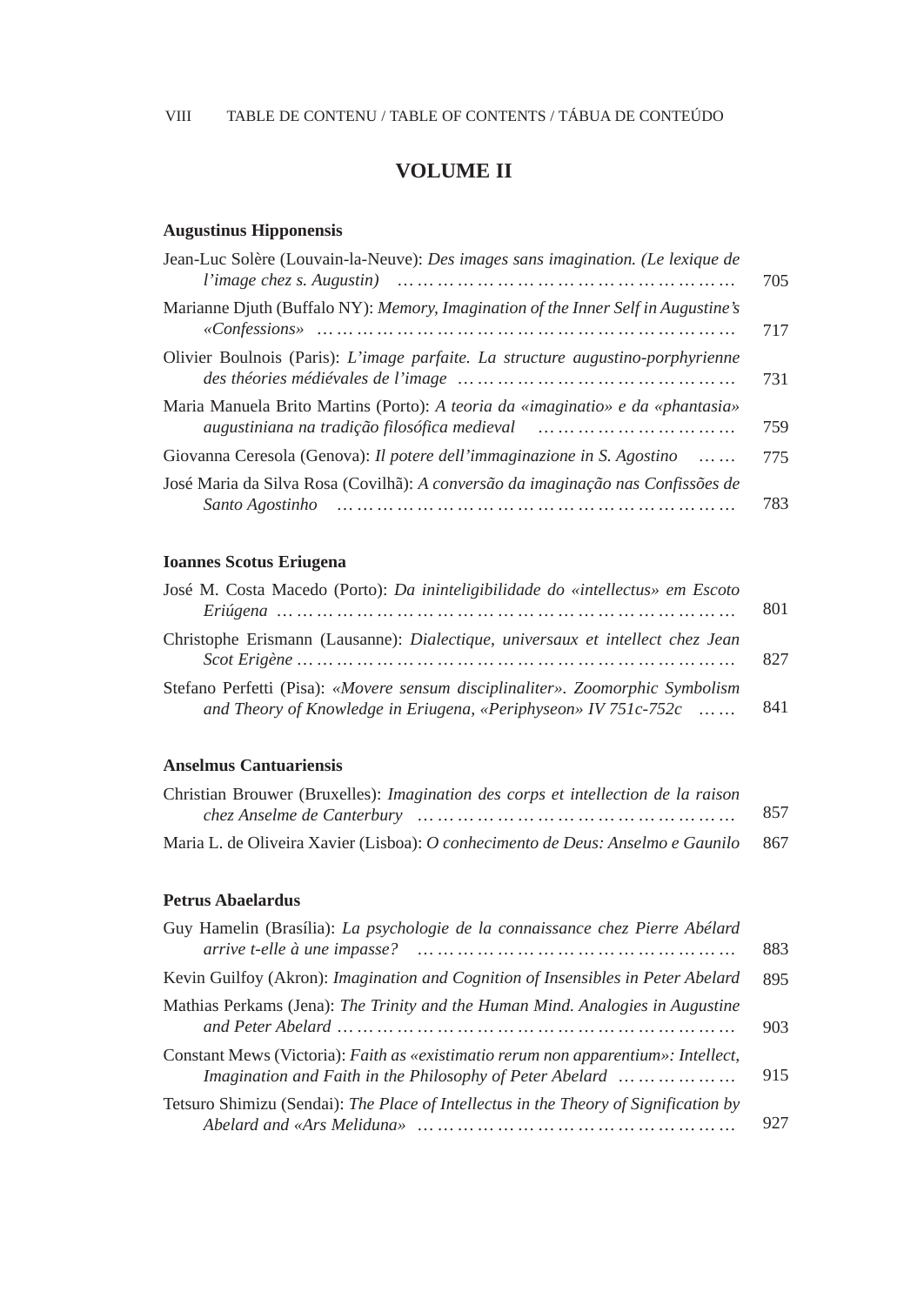## **VOLUME II**

## **Augustinus Hipponensis**

| Jean-Luc Solère (Louvain-la-Neuve): Des images sans imagination. (Le lexique de                                                                                                                  | 705 |
|--------------------------------------------------------------------------------------------------------------------------------------------------------------------------------------------------|-----|
| Marianne Djuth (Buffalo NY): Memory, Imagination of the Inner Self in Augustine's                                                                                                                | 717 |
| Olivier Boulnois (Paris): L'image parfaite. La structure augustino-porphyrienne                                                                                                                  | 731 |
| Maria Manuela Brito Martins (Porto): A teoria da «imaginatio» e da «phantasia»<br>augustiniana na tradição filosófica medieval augustiniana na tradição filosófica medieval augmento de contra m | 759 |
| Giovanna Ceresola (Genova): Il potere dell'immaginazione in S. Agostino<br>$\cdots$                                                                                                              | 775 |
| José Maria da Silva Rosa (Covilhã): A conversão da imaginação nas Confissões de<br>Santo Agostinho<br>and the continuum continuum continuum continuum continuum continuum continuum              | 783 |

## **Ioannes Scotus Eriugena**

| José M. Costa Macedo (Porto): Da ininteligibilidade do «intellectus» em Escoto                                                                    | 801 |
|---------------------------------------------------------------------------------------------------------------------------------------------------|-----|
| Christophe Erismann (Lausanne): <i>Dialectique, universaux et intellect chez Jean</i>                                                             | 827 |
| Stefano Perfetti (Pisa): «Movere sensum disciplinaliter». Zoomorphic Symbolism<br>and Theory of Knowledge in Eriugena, «Periphyseon» IV 751c-752c | 841 |

## **Anselmus Cantuariensis**

| Christian Brouwer (Bruxelles): <i>Imagination des corps et intellection de la raison</i> |     |
|------------------------------------------------------------------------------------------|-----|
|                                                                                          | 857 |
| Maria L. de Oliveira Xavier (Lisboa): O conhecimento de Deus: Anselmo e Gaunilo          | 867 |

#### **Petrus Abaelardus**

| Guy Hamelin (Brasília): La psychologie de la connaissance chez Pierre Abélard                                                                  | 883 |
|------------------------------------------------------------------------------------------------------------------------------------------------|-----|
| Kevin Guilfoy (Akron): Imagination and Cognition of Insensibles in Peter Abelard                                                               | 895 |
| Mathias Perkams (Jena): The Trinity and the Human Mind. Analogies in Augustine                                                                 | 903 |
| Constant Mews (Victoria): Faith as «existimatio rerum non apparentium»: Intellect,<br>Imagination and Faith in the Philosophy of Peter Abelard | 915 |
| Tetsuro Shimizu (Sendai): The Place of Intellectus in the Theory of Signification by                                                           | 927 |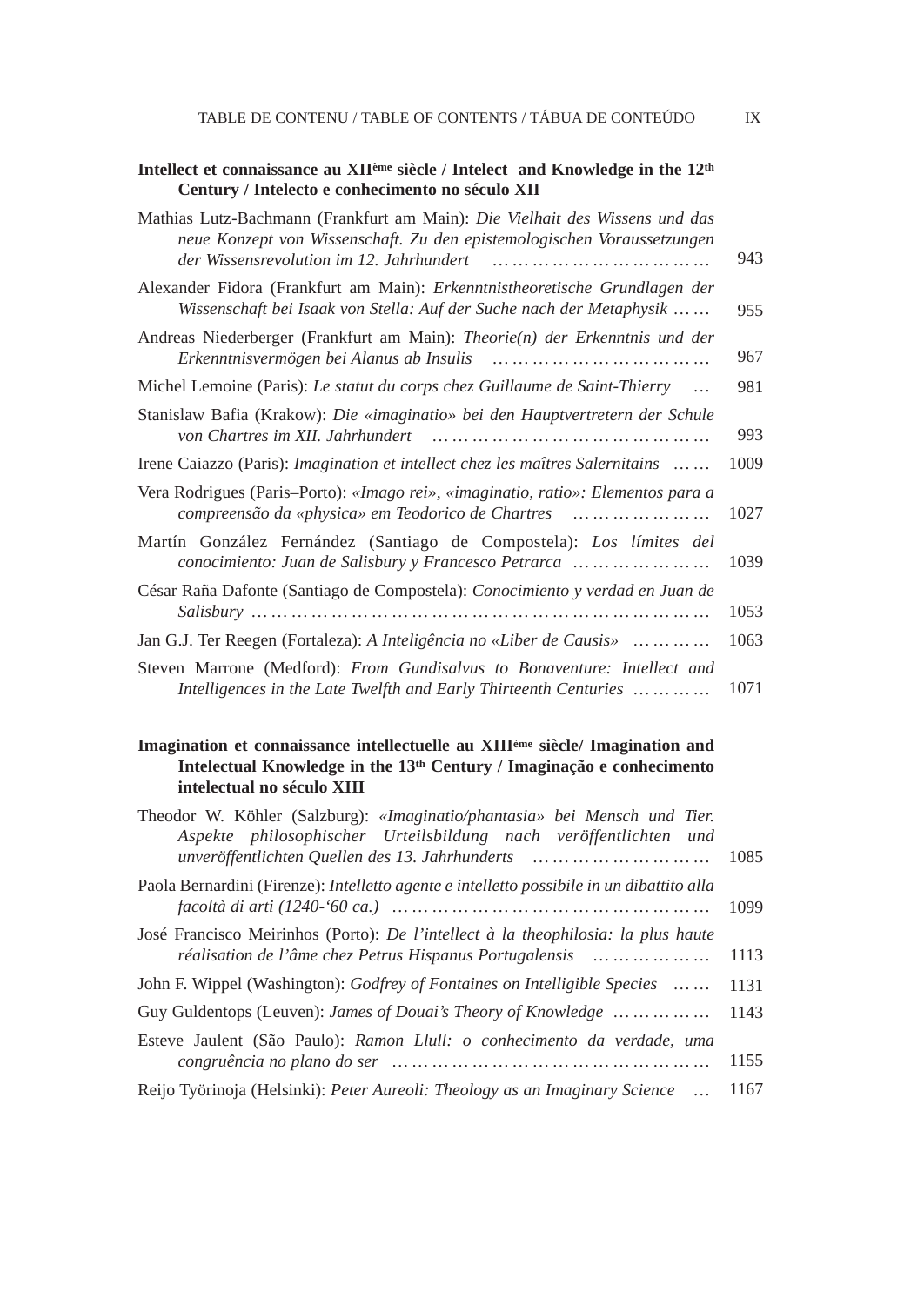| Intellect et connaissance au XII <sup>eme</sup> siècle / Intelect and Knowledge in the 12 <sup>th</sup><br>Century / Intelecto e conhecimento no século XII |      |
|-------------------------------------------------------------------------------------------------------------------------------------------------------------|------|
| Mathias Lutz-Bachmann (Frankfurt am Main): Die Vielhait des Wissens und das<br>neue Konzept von Wissenschaft. Zu den epistemologischen Voraussetzungen      | 943  |
| Alexander Fidora (Frankfurt am Main): Erkenntnistheoretische Grundlagen der<br>Wissenschaft bei Isaak von Stella: Auf der Suche nach der Metaphysik         | 955  |
| Andreas Niederberger (Frankfurt am Main): Theorie(n) der Erkenntnis und der                                                                                 | 967  |
| Michel Lemoine (Paris): Le statut du corps chez Guillaume de Saint-Thierry                                                                                  | 981  |
| Stanislaw Bafia (Krakow): Die «imaginatio» bei den Hauptvertretern der Schule<br>von Chartres im XII. Jahrhundert                                           | 993  |
| Irene Caiazzo (Paris): <i>Imagination et intellect chez les maîtres Salernitains</i>                                                                        | 1009 |
| Vera Rodrigues (Paris–Porto): «Imago rei», «imaginatio, ratio»: Elementos para a<br>compreensão da «physica» em Teodorico de Chartres                       | 1027 |
| Martín González Fernández (Santiago de Compostela): Los límites del<br>conocimiento: Juan de Salisbury y Francesco Petrarca                                 | 1039 |
| César Raña Dafonte (Santiago de Compostela): Conocimiento y verdad en Juan de                                                                               | 1053 |
| Jan G.J. Ter Reegen (Fortaleza): A Inteligência no «Liber de Causis»                                                                                        | 1063 |
| Steven Marrone (Medford): From Gundisalvus to Bonaventure: Intellect and<br>Intelligences in the Late Twelfth and Early Thirteenth Centuries                | 1071 |

### **Imagination et connaissance intellectuelle au XIIIème siècle/ Imagination and Intelectual Knowledge in the 13th Century / Imaginação e conhecimento intelectual no século XIII**

| Theodor W. Köhler (Salzburg): «Imaginatio/phantasia» bei Mensch und Tier.<br>Aspekte philosophischer Urteilsbildung nach veröffentlichten und |      |
|-----------------------------------------------------------------------------------------------------------------------------------------------|------|
| unveröffentlichten Quellen des 13. Jahrhunderts u. m. m. m. m. m. m. m.                                                                       | 1085 |
| Paola Bernardini (Firenze): <i>Intelletto agente e intelletto possibile in un dibattito alla</i>                                              | 1099 |
| José Francisco Meirinhos (Porto): De l'intellect à la theophilosia: la plus haute<br>réalisation de l'âme chez Petrus Hispanus Portugalensis  | 1113 |
| John F. Wippel (Washington): <i>Godfrey of Fontaines on Intelligible Species</i>                                                              | 1131 |
| Guy Guldentops (Leuven): <i>James of Douai's Theory of Knowledge     </i>                                                                     | 1143 |
| Esteve Jaulent (São Paulo): Ramon Llull: o conhecimento da verdade, uma                                                                       | 1155 |
| Reijo Työrinoja (Helsinki): Peter Aureoli: Theology as an Imaginary Science                                                                   | 1167 |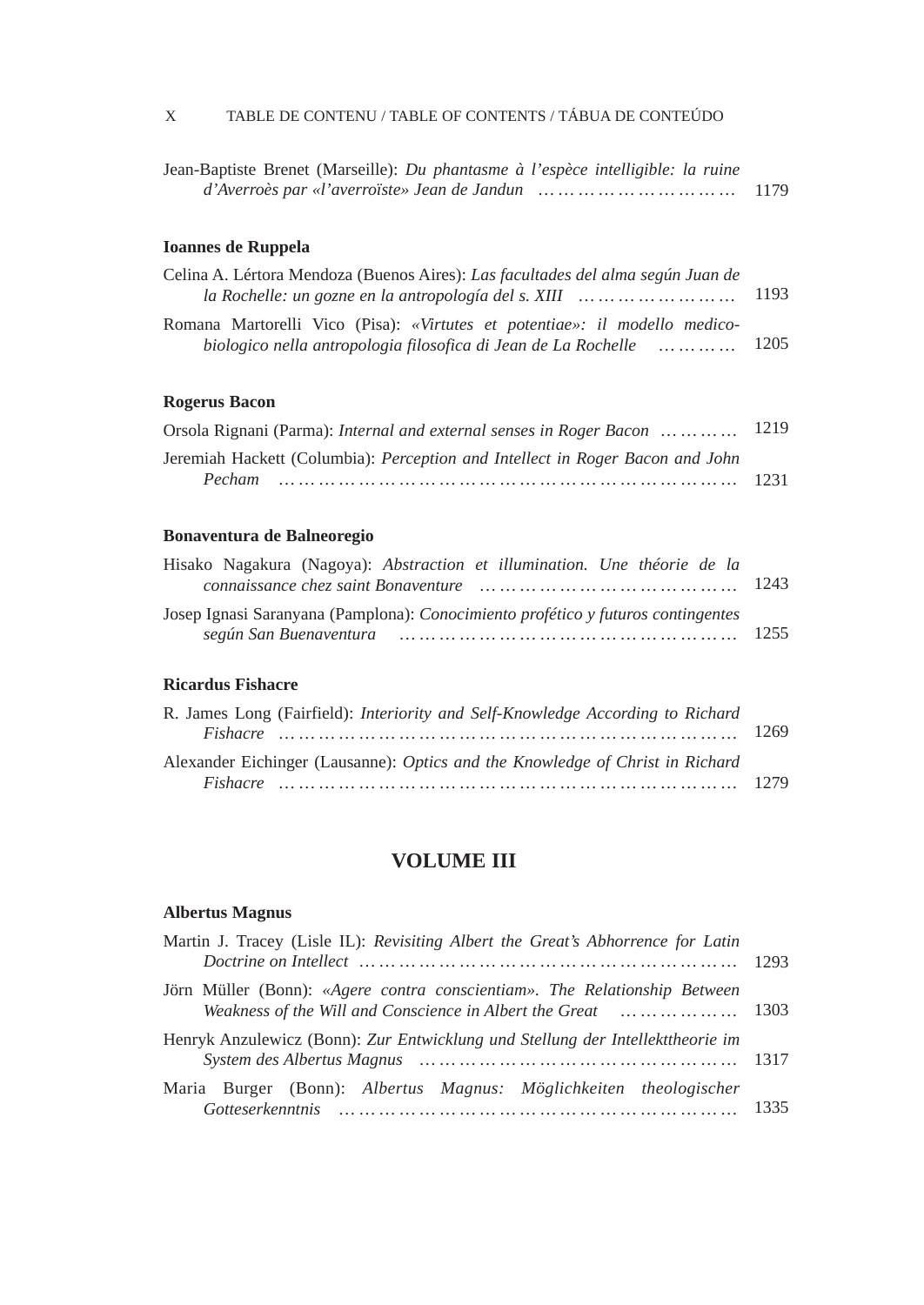## X TABLE DE CONTENU / TABLE OF CONTENTS / TÁBUA DE CONTEÚDO

| Jean-Baptiste Brenet (Marseille): Du phantasme à l'espèce intelligible: la ruine |      |
|----------------------------------------------------------------------------------|------|
| $d'Averro\`es par «l'averroïste» Jean de Jandun \dots  \dots  \dots  \dots  $    | 1179 |

## **Ioannes de Ruppela**

| Celina A. Lértora Mendoza (Buenos Aires): Las facultades del alma según Juan de<br>la Rochelle: un gozne en la antropología del s. XIII $\ldots \ldots \ldots \ldots \ldots \ldots$ | 1193 |
|-------------------------------------------------------------------------------------------------------------------------------------------------------------------------------------|------|
| Romana Martorelli Vico (Pisa): «Virtutes et potentiae»: il modello medico-<br>biologico nella antropologia filosofica di Jean de La Rochelle (m. m. m. m. 1205)                     |      |

## **Rogerus Bacon**

| Orsola Rignani (Parma): Internal and external senses in Roger Bacon     1219         |  |
|--------------------------------------------------------------------------------------|--|
| Jeremiah Hackett (Columbia): <i>Perception and Intellect in Roger Bacon and John</i> |  |
|                                                                                      |  |

## **Bonaventura de Balneoregio**

| Hisako Nagakura (Nagoya): Abstraction et illumination. Une théorie de la         |  |
|----------------------------------------------------------------------------------|--|
|                                                                                  |  |
| Josep Ignasi Saranyana (Pamplona): Conocimiento profético y futuros contingentes |  |
|                                                                                  |  |

#### **Ricardus Fishacre**

| R. James Long (Fairfield): Interiority and Self-Knowledge According to Richard |  |
|--------------------------------------------------------------------------------|--|
|                                                                                |  |
| Alexander Eichinger (Lausanne): Optics and the Knowledge of Christ in Richard  |  |
|                                                                                |  |

## **VOLUME III**

## **Albertus Magnus**

| Martin J. Tracey (Lisle IL): Revisiting Albert the Great's Abhorrence for Latin                                                                              |  |
|--------------------------------------------------------------------------------------------------------------------------------------------------------------|--|
| Jörn Müller (Bonn): «Agere contra conscientiam». The Relationship Between<br>Weakness of the Will and Conscience in Albert the Great and many manuscall 1303 |  |
| Henryk Anzulewicz (Bonn): Zur Entwicklung und Stellung der Intellekttheorie im                                                                               |  |
| Maria Burger (Bonn): Albertus Magnus: Möglichkeiten theologischer                                                                                            |  |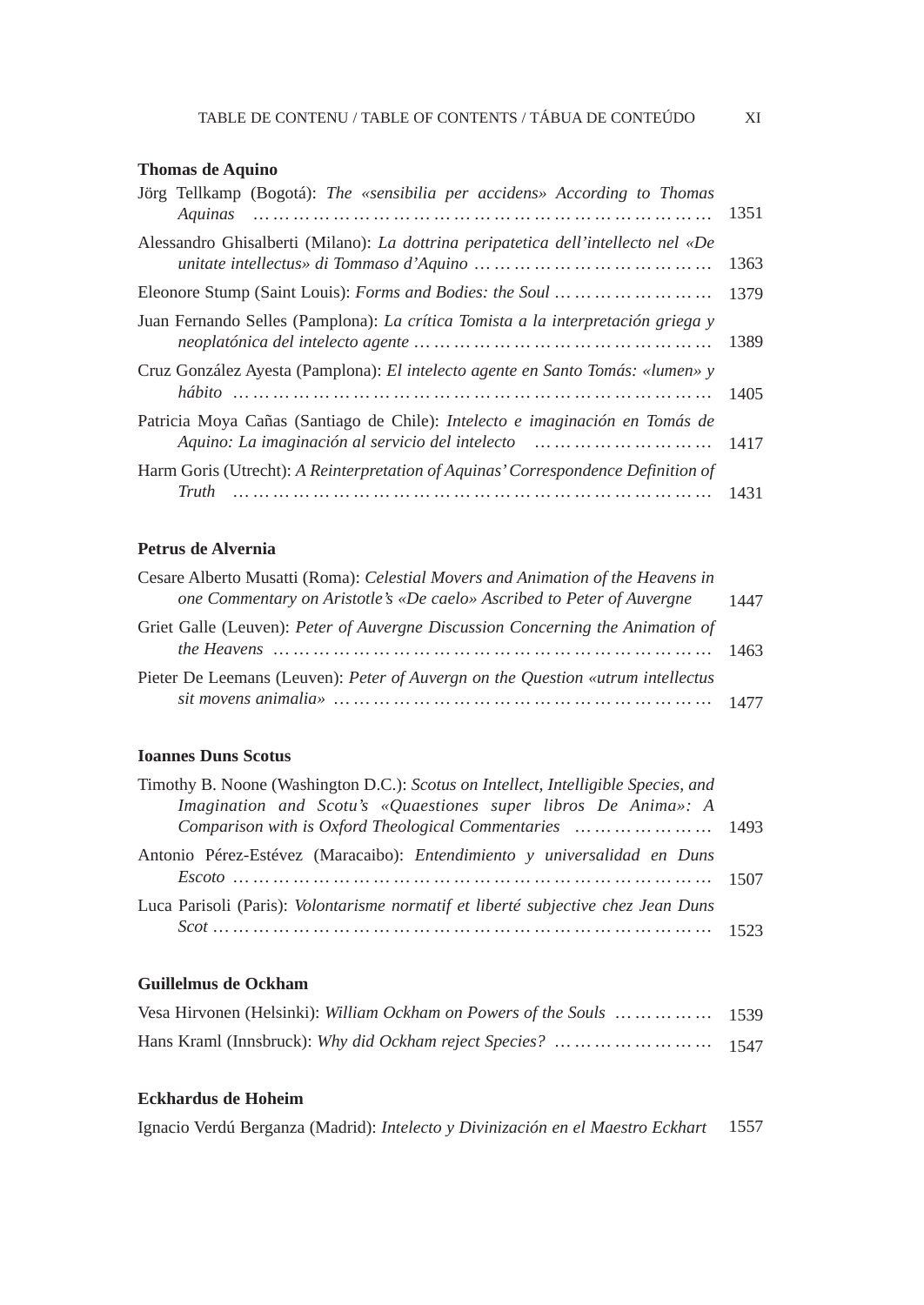## **Thomas de Aquino**

| Jörg Tellkamp (Bogotá): The «sensibilia per accidens» According to Thomas                                                                      |      |
|------------------------------------------------------------------------------------------------------------------------------------------------|------|
| Alessandro Ghisalberti (Milano): La dottrina peripatetica dell'intellecto nel «De                                                              | 1363 |
| Eleonore Stump (Saint Louis): <i>Forms and Bodies: the Soul      </i> 1379                                                                     |      |
| Juan Fernando Selles (Pamplona): La crítica Tomista a la interpretación griega y                                                               |      |
| Cruz González Ayesta (Pamplona): El intelecto agente en Santo Tomás: «lumen» y                                                                 |      |
| Patricia Moya Cañas (Santiago de Chile): Intelecto e imaginación en Tomás de<br>Aquino: La imaginación al servicio del intelecto          1417 |      |
| Harm Goris (Utrecht): A Reinterpretation of Aquinas' Correspondence Definition of                                                              |      |

## **Petrus de Alvernia**

| Cesare Alberto Musatti (Roma): Celestial Movers and Animation of the Heavens in        |      |
|----------------------------------------------------------------------------------------|------|
| one Commentary on Aristotle's «De caelo» Ascribed to Peter of Auvergne                 | 1447 |
| Griet Galle (Leuven): Peter of Auvergne Discussion Concerning the Animation of         | 1463 |
| Pieter De Leemans (Leuven): <i>Peter of Auvergn on the Question «utrum intellectus</i> |      |

## **Ioannes Duns Scotus**

| Timothy B. Noone (Washington D.C.): Scotus on Intellect, Intelligible Species, and<br>Imagination and Scotu's «Quaestiones super libros De Anima»: A |  |
|------------------------------------------------------------------------------------------------------------------------------------------------------|--|
| Comparison with is Oxford Theological Commentaries        1493                                                                                       |  |
| Antonio Pérez-Estévez (Maracaibo): <i>Entendimiento y universalidad en Duns</i>                                                                      |  |
| Luca Parisoli (Paris): Volontarisme normatif et liberté subjective chez Jean Duns                                                                    |  |
|                                                                                                                                                      |  |

## **Guillelmus de Ockham**

| Vesa Hirvonen (Helsinki): William Ockham on Powers of the Souls      1539 |  |
|---------------------------------------------------------------------------|--|
| Hans Kraml (Innsbruck): Why did Ockham reject Species?        1547        |  |

## **Eckhardus de Hoheim**

|  | Ignacio Verdú Berganza (Madrid): <i>Intelecto y Divinización en el Maestro Eckhart</i> 1557 |  |  |  |
|--|---------------------------------------------------------------------------------------------|--|--|--|
|--|---------------------------------------------------------------------------------------------|--|--|--|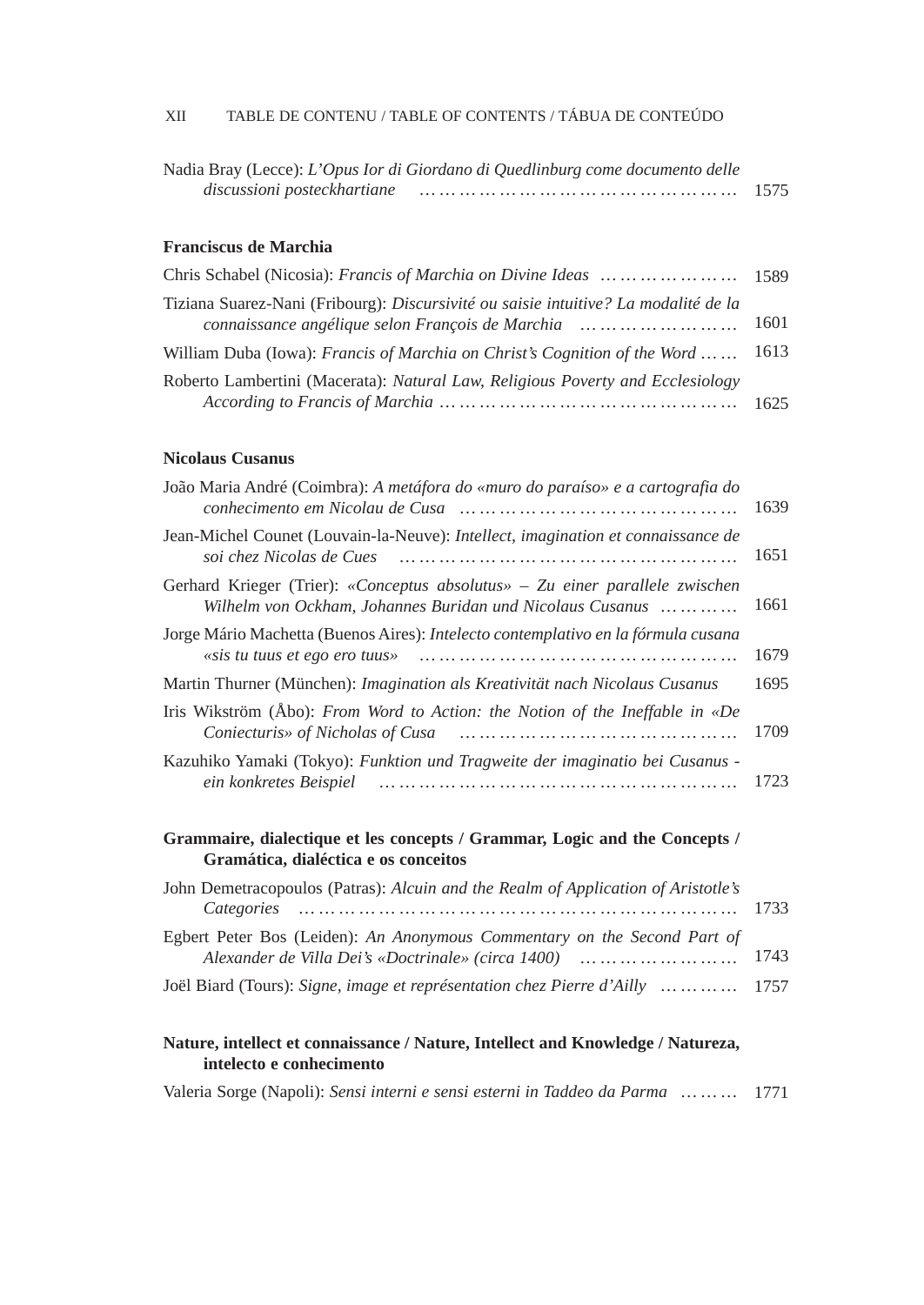|                             | Nadia Bray (Lecce): L'Opus Ior di Giordano di Quedlinburg come documento delle |      |
|-----------------------------|--------------------------------------------------------------------------------|------|
| discussioni posteckhartiane |                                                                                | 1575 |

### **Franciscus de Marchia**

| Chris Schabel (Nicosia): Francis of Marchia on Divine Ideas        1589                    |      |
|--------------------------------------------------------------------------------------------|------|
| Tiziana Suarez-Nani (Fribourg): <i>Discursivité ou saisie intuitive? La modalité de la</i> | 1601 |
| William Duba (Iowa): <i>Francis of Marchia on Christ's Cognition of the Word</i>           | 1613 |
| Roberto Lambertini (Macerata): Natural Law, Religious Poverty and Ecclesiology             |      |

### **Nicolaus Cusanus**

| João Maria André (Coimbra): A metáfora do «muro do paraíso» e a cartografia do                                                                                                        | 1639 |
|---------------------------------------------------------------------------------------------------------------------------------------------------------------------------------------|------|
| Jean-Michel Counet (Louvain-la-Neuve): Intellect, imagination et connaissance de<br>soi chez Nicolas de Cues<br>                                                                      | 1651 |
| Gerhard Krieger (Trier): «Conceptus absolutus» – Zu einer parallele zwischen<br>Wilhelm von Ockham, Johannes Buridan und Nicolaus Cusanus                                             | 1661 |
| Jorge Mário Machetta (Buenos Aires): Intelecto contemplativo en la fórmula cusana<br>«sis tu tuus et ego ero tuus»<br>                                                                | 1679 |
| Martin Thurner (München): <i>Imagination als Kreativität nach Nicolaus Cusanus</i>                                                                                                    | 1695 |
| Iris Wikström (Åbo): From Word to Action: the Notion of the Ineffable in «De<br>Coniecturis» of Nicholas of Cusa                                                                      | 1709 |
| Kazuhiko Yamaki (Tokyo): Funktion und Tragweite der imaginatio bei Cusanus -<br>ein konkretes Beispiel                                                                                | 1723 |
| Grammaire, dialectique et les concepts / Grammar, Logic and the Concepts /<br>Gramática, dialéctica e os conceitos                                                                    |      |
| John Demetracopoulos (Patras): Alcuin and the Realm of Application of Aristotle's<br>Categories<br>and the continuum component of the continuum component components of the continuum | 1733 |
| Egbert Peter Bos (Leiden): An Anonymous Commentary on the Second Part of<br>Alexander de Villa Dei's «Doctrinale» (circa 1400)                                                        | 1743 |
| Joël Biard (Tours): Signe, image et représentation chez Pierre d'Ailly                                                                                                                | 1757 |

### **Nature, intellect et connaissance / Nature, Intellect and Knowledge / Natureza, intelecto e conhecimento**

Valeria Sorge (Napoli): *Sensi interni e sensi esterni in Taddeo da Parma … … …* 1771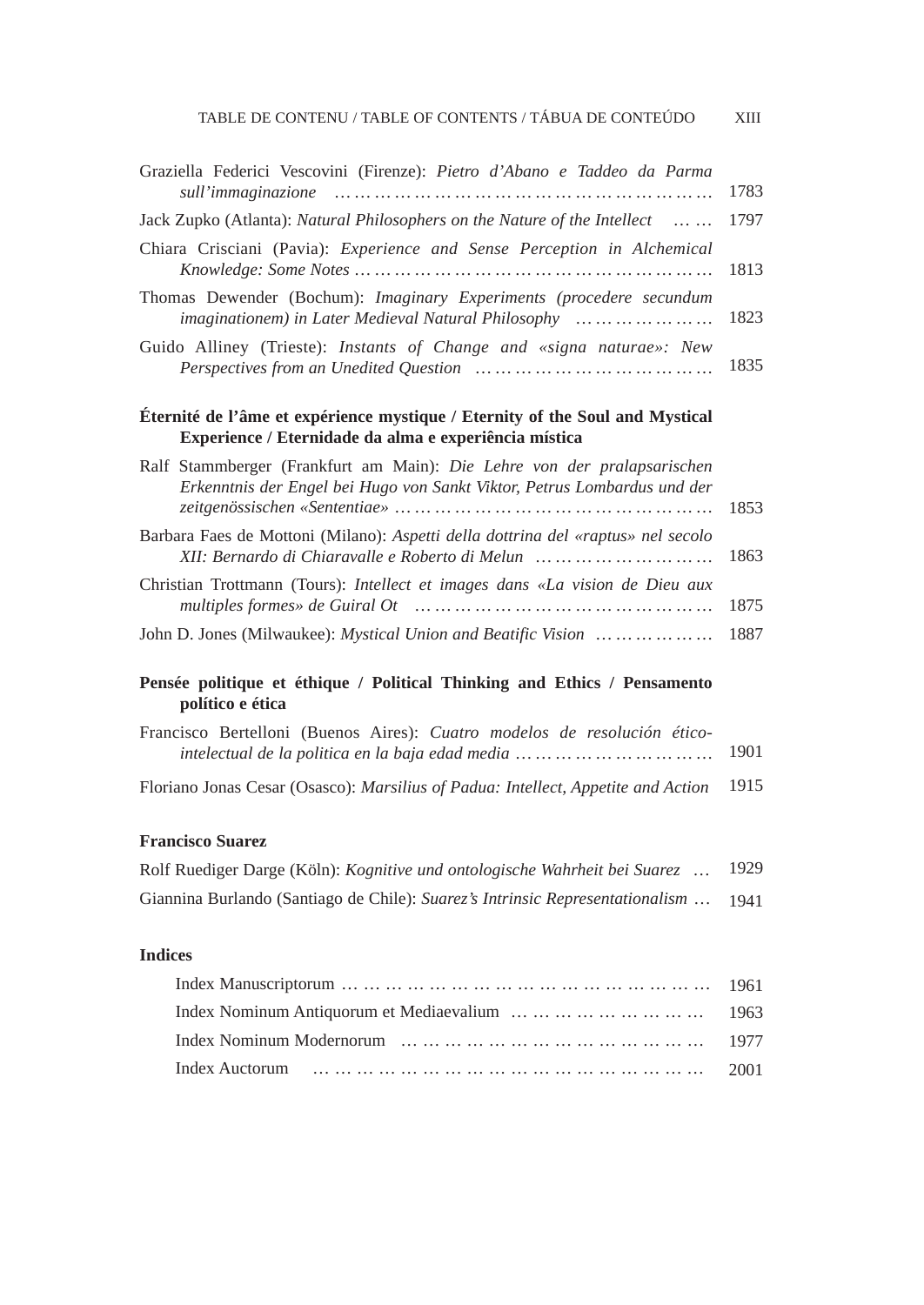| Graziella Federici Vescovini (Firenze): Pietro d'Abano e Taddeo da Parma                                                                            | 1783 |
|-----------------------------------------------------------------------------------------------------------------------------------------------------|------|
| Jack Zupko (Atlanta): <i>Natural Philosophers on the Nature of the Intellect</i>                                                                    | 1797 |
| Chiara Crisciani (Pavia): Experience and Sense Perception in Alchemical                                                                             | 1813 |
| Thomas Dewender (Bochum): <i>Imaginary Experiments (procedere secundum</i><br>imaginationem) in Later Medieval Natural Philosophy                   | 1823 |
| Guido Alliney (Trieste): Instants of Change and «signa naturae»: New                                                                                | 1835 |
| Eternité de l'âme et expérience mystique / Eternity of the Soul and Mystical<br>Experience / Eternidade da alma e experiência mística               |      |
| Ralf Stammberger (Frankfurt am Main): Die Lehre von der pralapsarischen<br>Erkenntnis der Engel bei Hugo von Sankt Viktor, Petrus Lombardus und der | 1853 |
| Barbara Faes de Mottoni (Milano): Aspetti della dottrina del «raptus» nel secolo<br>XII: Bernardo di Chiaravalle e Roberto di Melun                 | 1863 |
| Christian Trottmann (Tours): Intellect et images dans «La vision de Dieu aux                                                                        | 1875 |
| John D. Jones (Milwaukee): <i>Mystical Union and Beatific Vision     </i>                                                                           | 1887 |
| Pensée politique et éthique / Political Thinking and Ethics / Pensamento<br>político e ética                                                        |      |

| Francisco Bertelloni (Buenos Aires): Cuatro modelos de resolución ético-          |        |
|-----------------------------------------------------------------------------------|--------|
|                                                                                   | 1901   |
| Floriano Jonas Cesar (Osasco): Marsilius of Padua: Intellect, Appetite and Action | - 1915 |

## **Francisco Suarez**

| Rolf Ruediger Darge (Köln): Kognitive und ontologische Wahrheit bei Suarez    | 1929 |
|-------------------------------------------------------------------------------|------|
| Giannina Burlando (Santiago de Chile): Suarez's Intrinsic Representationalism | 1941 |

## **Indices**

| Index Nominum Antiquorum et Mediaevalium          1963 |  |
|--------------------------------------------------------|--|
|                                                        |  |
|                                                        |  |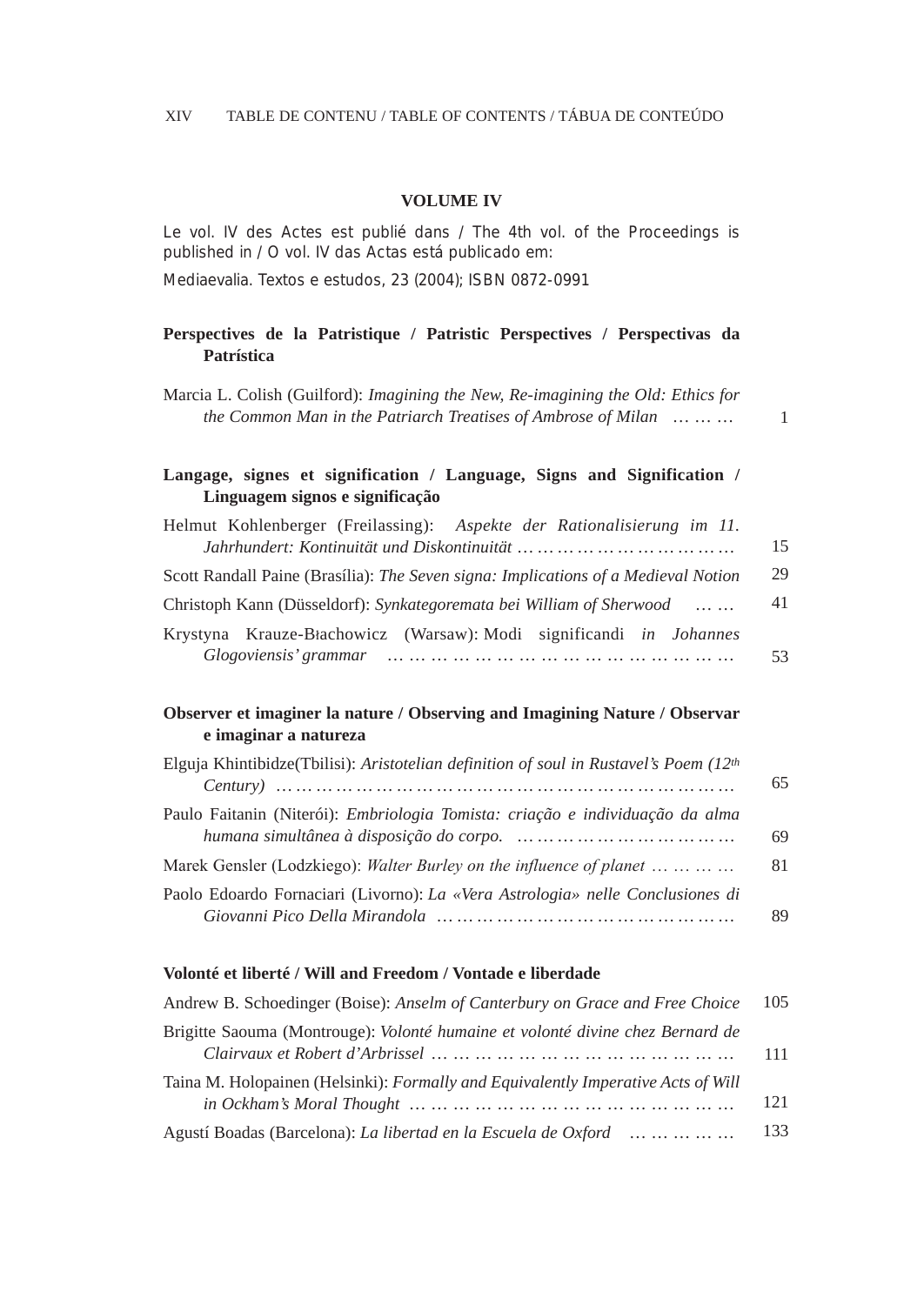#### **VOLUME IV**

Le vol. IV des Actes est publié dans / The 4th vol. of the Proceedings is published in / O vol. IV das Actas está publicado em:

*Mediaevalia. Textos e estudos*, 23 (2004); ISBN 0872-0991

### **Perspectives de la Patristique / Patristic Perspectives / Perspectivas da Patrística**

Marcia L. Colish (Guilford): *Imagining the New, Re-imagining the Old: Ethics for the Common Man in the Patriarch Treatises of Ambrose of Milan* … … …

1

## **Langage, signes et signification / Language, Signs and Signification / Linguagem signos e significação**

| Helmut Kohlenberger (Freilassing): Aspekte der Rationalisierung im 11.                                                                     |    |
|--------------------------------------------------------------------------------------------------------------------------------------------|----|
|                                                                                                                                            | 15 |
| Scott Randall Paine (Brasília): The Seven signa: Implications of a Medieval Notion                                                         | 29 |
| Christoph Kann (Düsseldorf): Synkategoremata bei William of Sherwood                                                                       | 41 |
| Krystyna Krauze-Błachowicz (Warsaw): Modi significandi <i>in Johannes</i>                                                                  |    |
| Glogoviensis' grammar $\cdots$ $\cdots$ $\cdots$ $\cdots$ $\cdots$ $\cdots$ $\cdots$ $\cdots$ $\cdots$ $\cdots$ $\cdots$ $\cdots$ $\cdots$ | 53 |

#### **Observer et imaginer la nature / Observing and Imagining Nature / Observar e imaginar a natureza**

| Elguja Khintibidze(Tbilisi): Aristotelian definition of soul in Rustavel's Poem $(12th$ |    |
|-----------------------------------------------------------------------------------------|----|
|                                                                                         | 65 |
| Paulo Faitanin (Niterói): <i>Embriologia Tomista: criação e individuação da alma</i>    |    |
|                                                                                         | 69 |
| Marek Gensler (Lodzkiego): Walter Burley on the influence of planet                     | 81 |
| Paolo Edoardo Fornaciari (Livorno): La «Vera Astrologia» nelle Conclusiones di          |    |
|                                                                                         | 89 |

#### **Volonté et liberté / Will and Freedom / Vontade e liberdade**

| Andrew B. Schoedinger (Boise): Anselm of Canterbury on Grace and Free Choice      | 105 |
|-----------------------------------------------------------------------------------|-----|
| Brigitte Saouma (Montrouge): Volonté humaine et volonté divine chez Bernard de    | 111 |
| Taina M. Holopainen (Helsinki): Formally and Equivalently Imperative Acts of Will | 121 |
| Agustí Boadas (Barcelona): <i>La libertad en la Escuela de Oxford</i>             | 133 |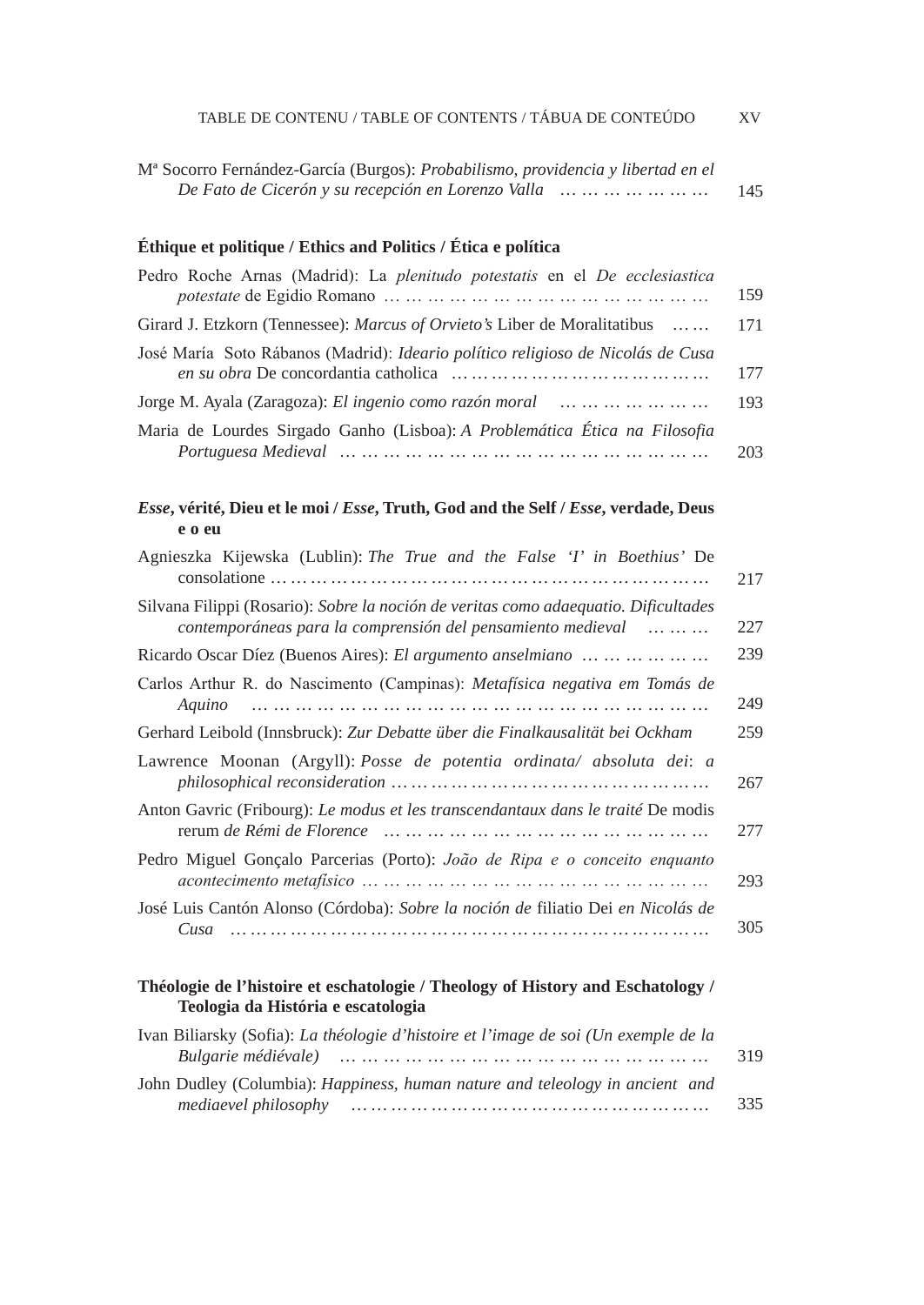| TABLE DE CONTENU / TABLE OF CONTENTS / TÁBUA DE CONTEÚDO                                                                                           | XV. |
|----------------------------------------------------------------------------------------------------------------------------------------------------|-----|
| M <sup>a</sup> Socorro Fernández-García (Burgos): Probabilismo, providencia y libertad en el<br>De Fato de Cicerón y su recepción en Lorenzo Valla | 145 |
| Éthique et politique / Ethics and Politics / Ética e política                                                                                      |     |
| Pedro Roche Arnas (Madrid): La plenitudo potestatis en el De ecclesiastica                                                                         | 159 |
| Girard J. Etzkorn (Tennessee): Marcus of Orvieto's Liber de Moralitatibus                                                                          | 171 |
| José María Soto Rábanos (Madrid): Ideario político religioso de Nicolás de Cusa                                                                    | 177 |
| Jorge M. Ayala (Zaragoza): El ingenio como razón moral                                                                                             | 193 |
| Maria de Lourdes Sirgado Ganho (Lisboa): A Problemática Ética na Filosofia                                                                         | 203 |
| Esse, vérité, Dieu et le moi / Esse, Truth, God and the Self / Esse, verdade, Deus<br>e o eu                                                       |     |
| Agnieszka Kijewska (Lublin): The True and the False 'I' in Boethius' De                                                                            | 217 |
| Silvana Filippi (Rosario): Sobre la noción de veritas como adaequatio. Dificultades<br>contemporáneas para la comprensión del pensamiento medieval | 227 |
| Ricardo Oscar Díez (Buenos Aires): El argumento anselmiano                                                                                         | 239 |
| Carlos Arthur R. do Nascimento (Campinas): Metafísica negativa em Tomás de<br>Aquino                                                               | 249 |
| Gerhard Leibold (Innsbruck): Zur Debatte über die Finalkausalität bei Ockham                                                                       | 259 |
| Lawrence Moonan (Argyll): Posse de potentia ordinata/ absoluta dei: a                                                                              | 267 |
| Anton Gavric (Fribourg): Le modus et les transcendantaux dans le traité De modis                                                                   | 277 |
| Pedro Miguel Gonçalo Parcerias (Porto): João de Ripa e o conceito enquanto                                                                         | 293 |
| José Luis Cantón Alonso (Córdoba): Sobre la noción de filiatio Dei en Nicolás de<br>Cusa<br>                                                       | 305 |
| Théologie de l'histoire et eschatologie / Theology of History and Eschatology /<br>Teologia da História e escatologia                              |     |
| Ivan Biliarsky (Sofia): La théologie d'histoire et l'image de soi (Un exemple de la<br>Bulgarie médiévale)                                         | 319 |
| John Dudley (Columbia): Happiness, human nature and teleology in ancient and                                                                       | 335 |
|                                                                                                                                                    |     |